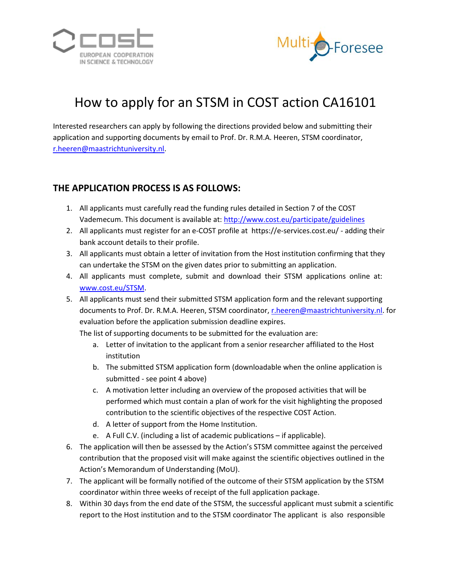



## How to apply for an STSM in COST action CA16101

Interested researchers can apply by following the directions provided below and submitting their application and supporting documents by email to Prof. Dr. R.M.A. Heeren, STSM coordinator, [r.heeren@maastrichtuniversity.nl.](mailto:r.heeren@maastrichtuniversity.nl)

## **THE APPLICATION PROCESS IS AS FOLLOWS:**

- 1. All applicants must carefully read the funding rules detailed in Section 7 of the COST Vademecum. This document is available at: <http://www.cost.eu/participate/guidelines>
- 2. All applicants must register for an e-COST profile at https://e-services.cost.eu/ adding their bank account details to their profile.
- 3. All applicants must obtain a letter of invitation from the Host institution confirming that they can undertake the STSM on the given dates prior to submitting an application.
- 4. All applicants must complete, submit and download their STSM applications online at: [www.cost.eu/STSM.](http://www.cost.eu/STSM)
- 5. All applicants must send their submitted STSM application form and the relevant supporting documents to Prof. Dr. R.M.A. Heeren, STSM coordinator[, r.heeren@maastrichtuniversity.nl.](mailto:r.heeren@maastrichtuniversity.nl) for evaluation before the application submission deadline expires.

The list of supporting documents to be submitted for the evaluation are:

- a. Letter of invitation to the applicant from a senior researcher affiliated to the Host institution
- b. The submitted STSM application form (downloadable when the online application is submitted - see point 4 above)
- c. A motivation letter including an overview of the proposed activities that will be performed which must contain a plan of work for the visit highlighting the proposed contribution to the scientific objectives of the respective COST Action.
- d. A letter of support from the Home Institution.
- e. A Full C.V. (including a list of academic publications if applicable).
- 6. The application will then be assessed by the Action's STSM committee against the perceived contribution that the proposed visit will make against the scientific objectives outlined in the Action's Memorandum of Understanding (MoU).
- 7. The applicant will be formally notified of the outcome of their STSM application by the STSM coordinator within three weeks of receipt of the full application package.
- 8. Within 30 days from the end date of the STSM, the successful applicant must submit a scientific report to the Host institution and to the STSM coordinator The applicant is also responsible